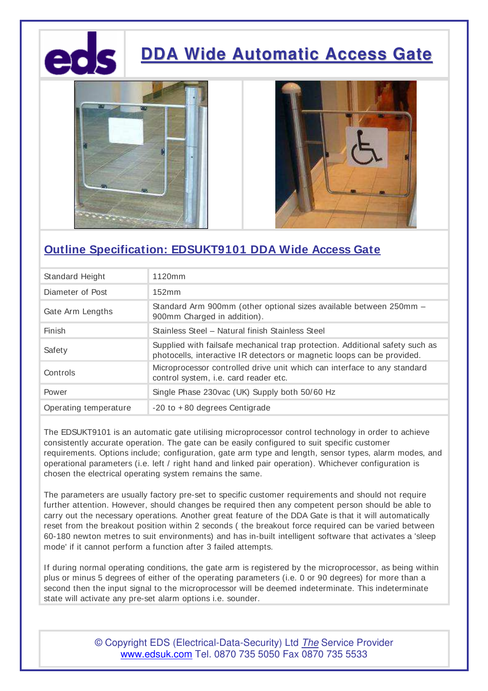

# **DDA Wide Automatic Access Gate**





### **Outline Specification: EDSUKT9101 DDA Wide Access Gate**

| Standard Height       | 1120mm                                                                                                                                                  |
|-----------------------|---------------------------------------------------------------------------------------------------------------------------------------------------------|
| Diameter of Post      | 152mm                                                                                                                                                   |
| Gate Arm Lengths      | Standard Arm 900mm (other optional sizes available between 250mm -<br>900mm Charged in addition).                                                       |
| Finish                | Stainless Steel - Natural finish Stainless Steel                                                                                                        |
| Safety                | Supplied with failsafe mechanical trap protection. Additional safety such as<br>photocells, interactive IR detectors or magnetic loops can be provided. |
| Controls              | Microprocessor controlled drive unit which can interface to any standard<br>control system, i.e. card reader etc.                                       |
| Power                 | Single Phase 230vac (UK) Supply both 50/60 Hz                                                                                                           |
| Operating temperature | $-20$ to $+80$ degrees Centigrade                                                                                                                       |

The EDSUKT9101 is an automatic gate utilising microprocessor control technology in order to achieve consistently accurate operation. The gate can be easily configured to suit specific customer requirements. Options include; configuration, gate arm type and length, sensor types, alarm modes, and operational parameters (i.e. left / right hand and linked pair operation). Whichever configuration is chosen the electrical operating system remains the same.

The parameters are usually factory pre-set to specific customer requirements and should not require further attention. However, should changes be required then any competent person should be able to carry out the necessary operations. Another great feature of the DDA Gate is that it will automatically reset from the breakout position within 2 seconds ( the breakout force required can be varied between 60-180 newton metres to suit environments) and has in-built intelligent software that activates a 'sleep mode' if it cannot perform a function after 3 failed attempts.

If during normal operating conditions, the gate arm is registered by the microprocessor, as being within plus or minus 5 degrees of either of the operating parameters (i.e. 0 or 90 degrees) for more than a second then the input signal to the microprocessor will be deemed indeterminate. This indeterminate state will activate any pre-set alarm options i.e. sounder.

> © Copyright EDS (Electrical-Data-Security) Ltd *The* Service Provider www.edsuk.com Tel. 0870 735 5050 Fax 0870 735 5533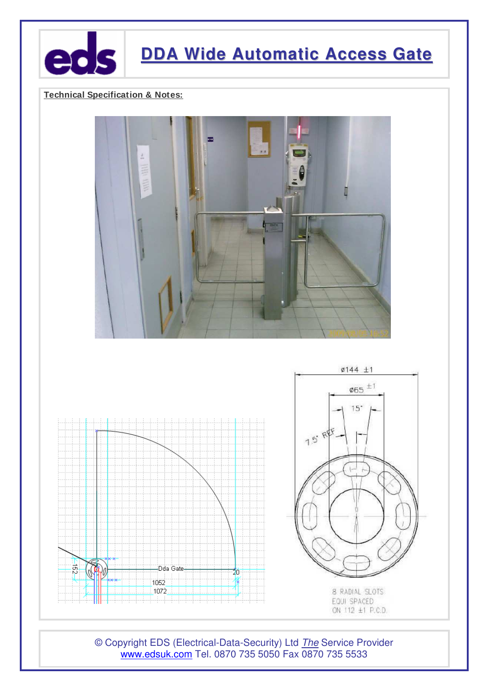

## **DDA Wide Automatic Access Gate**

### **Technical Specification & Notes:**





© Copyright EDS (Electrical-Data-Security) Ltd *The* Service Provider www.edsuk.com Tel. 0870 735 5050 Fax 0870 735 5533